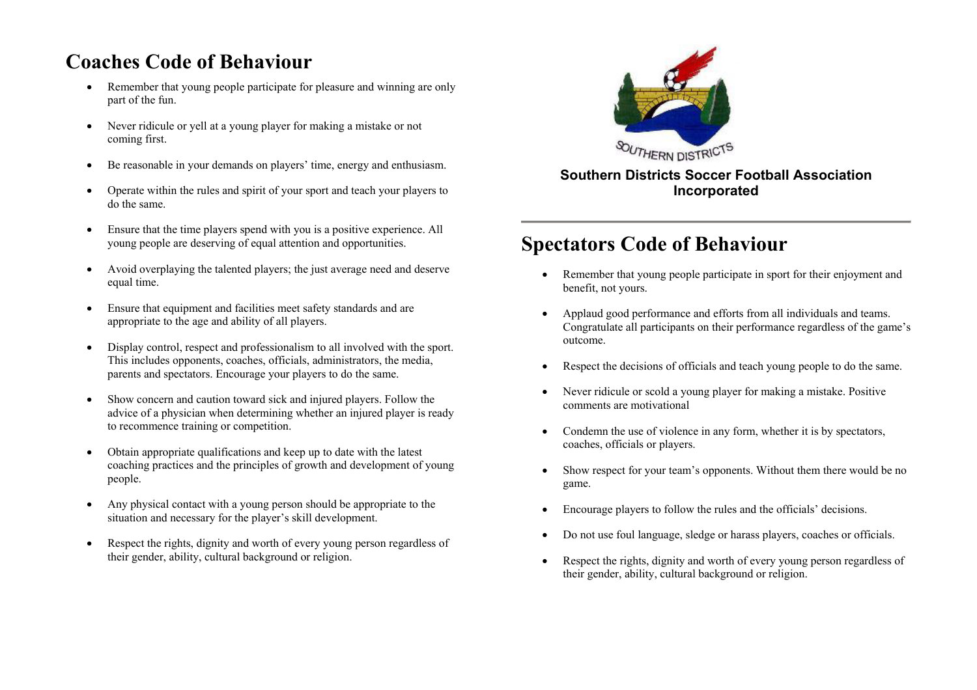#### **Coaches Code of Behaviour**

- • Remember that young people participate for pleasure and winning are only part of the fun.
- • Never ridicule or yell at a young player for making a mistake or not coming first.
- •Be reasonable in your demands on players' time, energy and enthusiasm.
- • Operate within the rules and spirit of your sport and teach your players to do the same.
- • Ensure that the time players spend with you is a positive experience. All young people are deserving of equal attention and opportunities.
- • Avoid overplaying the talented players; the just average need and deserve equal time.
- • Ensure that equipment and facilities meet safety standards and are appropriate to the age and ability of all players.
- • Display control, respect and professionalism to all involved with the sport. This includes opponents, coaches, officials, administrators, the media, parents and spectators. Encourage your players to do the same.
- • Show concern and caution toward sick and injured players. Follow the advice of a physician when determining whether an injured player is ready to recommence training or competition.
- • Obtain appropriate qualifications and keep up to date with the latest coaching practices and the principles of growth and development of young people.
- • Any physical contact with a young person should be appropriate to the situation and necessary for the player's skill development.
- • Respect the rights, dignity and worth of every young person regardless of their gender, ability, cultural background or religion.



#### **Southern Districts Soccer Football Association Incorporated**

## **Spectators Code of Behaviour**

- • Remember that young people participate in sport for their enjoyment and benefit, not yours.
- • Applaud good performance and efforts from all individuals and teams. Congratulate all participants on their performance regardless of the game's outcome.
- •Respect the decisions of officials and teach young people to do the same.
- • Never ridicule or scold a young player for making a mistake. Positive comments are motivational
- • Condemn the use of violence in any form, whether it is by spectators, coaches, officials or players.
- • Show respect for your team's opponents. Without them there would be no game.
- •Encourage players to follow the rules and the officials' decisions.
- •Do not use foul language, sledge or harass players, coaches or officials.
- • Respect the rights, dignity and worth of every young person regardless of their gender, ability, cultural background or religion.